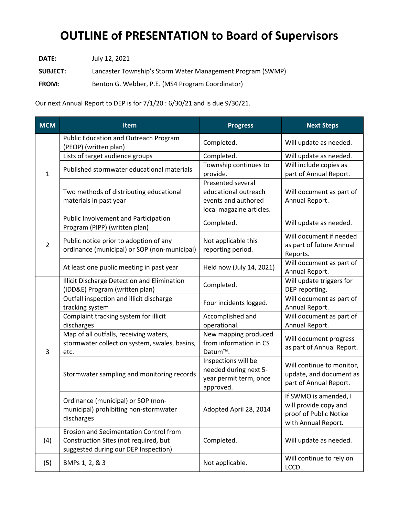## **OUTLINE of PRESENTATION to Board of Supervisors**

**DATE:** July 12, 2021

**SUBJECT:** Lancaster Township's Storm Water Management Program (SWMP)

**FROM:** Benton G. Webber, P.E. (MS4 Program Coordinator)

Our next Annual Report to DEP is for 7/1/20 : 6/30/21 and is due 9/30/21.

| <b>MCM</b>     | <b>Item</b>                                                                                                             | <b>Progress</b>                                                                              | <b>Next Steps</b>                                                                               |
|----------------|-------------------------------------------------------------------------------------------------------------------------|----------------------------------------------------------------------------------------------|-------------------------------------------------------------------------------------------------|
| 1              | <b>Public Education and Outreach Program</b><br>(PEOP) (written plan)                                                   | Completed.                                                                                   | Will update as needed.                                                                          |
|                | Lists of target audience groups                                                                                         | Completed.                                                                                   | Will update as needed.                                                                          |
|                | Published stormwater educational materials                                                                              | Township continues to<br>provide.                                                            | Will include copies as<br>part of Annual Report.                                                |
|                | Two methods of distributing educational<br>materials in past year                                                       | Presented several<br>educational outreach<br>events and authored<br>local magazine articles. | Will document as part of<br>Annual Report.                                                      |
| $\overline{2}$ | Public Involvement and Participation<br>Program (PIPP) (written plan)                                                   | Completed.                                                                                   | Will update as needed.                                                                          |
|                | Public notice prior to adoption of any<br>ordinance (municipal) or SOP (non-municipal)                                  | Not applicable this<br>reporting period.                                                     | Will document if needed<br>as part of future Annual<br>Reports.                                 |
|                | At least one public meeting in past year                                                                                | Held now (July 14, 2021)                                                                     | Will document as part of<br>Annual Report.                                                      |
| 3              | Illicit Discharge Detection and Elimination<br>(IDD&E) Program (written plan)                                           | Completed.                                                                                   | Will update triggers for<br>DEP reporting.                                                      |
|                | Outfall inspection and illicit discharge<br>tracking system                                                             | Four incidents logged.                                                                       | Will document as part of<br>Annual Report.                                                      |
|                | Complaint tracking system for illicit<br>discharges                                                                     | Accomplished and<br>operational.                                                             | Will document as part of<br>Annual Report.                                                      |
|                | Map of all outfalls, receiving waters,<br>stormwater collection system, swales, basins,<br>etc.                         | New mapping produced<br>from information in CS<br>Datum™.                                    | Will document progress<br>as part of Annual Report.                                             |
|                | Stormwater sampling and monitoring records                                                                              | Inspections will be<br>needed during next 5-<br>year permit term, once<br>approved.          | Will continue to monitor,<br>update, and document as<br>part of Annual Report.                  |
|                | Ordinance (municipal) or SOP (non-<br>municipal) prohibiting non-stormwater<br>discharges                               | Adopted April 28, 2014                                                                       | If SWMO is amended, I<br>will provide copy and<br>proof of Public Notice<br>with Annual Report. |
| (4)            | Erosion and Sedimentation Control from<br>Construction Sites (not required, but<br>suggested during our DEP Inspection) | Completed.                                                                                   | Will update as needed.                                                                          |
| (5)            | BMPs 1, 2, & 3                                                                                                          | Not applicable.                                                                              | Will continue to rely on<br>LCCD.                                                               |